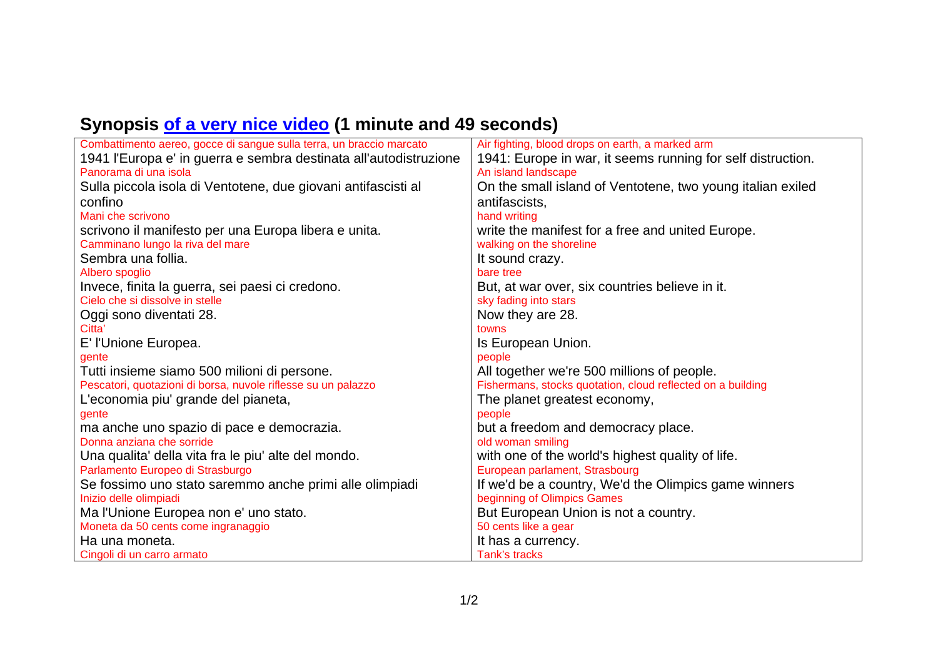## **Synopsis of a very nice video (1 minute and 49 seconds)**

| Combattimento aereo, gocce di sangue sulla terra, un braccio marcato | Air fighting, blood drops on earth, a marked arm            |
|----------------------------------------------------------------------|-------------------------------------------------------------|
| 1941 l'Europa e' in guerra e sembra destinata all'autodistruzione    | 1941: Europe in war, it seems running for self distruction. |
| Panorama di una isola                                                | An island landscape                                         |
| Sulla piccola isola di Ventotene, due giovani antifascisti al        | On the small island of Ventotene, two young italian exiled  |
| confino                                                              | antifascists,                                               |
| Mani che scrivono                                                    | hand writing                                                |
| scrivono il manifesto per una Europa libera e unita.                 | write the manifest for a free and united Europe.            |
| Camminano lungo la riva del mare                                     | walking on the shoreline                                    |
| Sembra una follia.                                                   | It sound crazy.                                             |
| Albero spoglio                                                       | bare tree                                                   |
| Invece, finita la guerra, sei paesi ci credono.                      | But, at war over, six countries believe in it.              |
| Cielo che si dissolve in stelle                                      | sky fading into stars                                       |
| Oggi sono diventati 28.                                              | Now they are 28.                                            |
| Citta'                                                               | towns                                                       |
| E' l'Unione Europea.                                                 | Is European Union.                                          |
| gente                                                                | people                                                      |
| Tutti insieme siamo 500 milioni di persone.                          | All together we're 500 millions of people.                  |
| Pescatori, quotazioni di borsa, nuvole riflesse su un palazzo        | Fishermans, stocks quotation, cloud reflected on a building |
| L'economia piu' grande del pianeta,                                  | The planet greatest economy,                                |
| gente                                                                | people                                                      |
| ma anche uno spazio di pace e democrazia.                            | but a freedom and democracy place.                          |
| Donna anziana che sorride                                            | old woman smiling                                           |
| Una qualita' della vita fra le piu' alte del mondo.                  | with one of the world's highest quality of life.            |
| Parlamento Europeo di Strasburgo                                     | European parlament, Strasbourg                              |
| Se fossimo uno stato saremmo anche primi alle olimpiadi              | If we'd be a country, We'd the Olimpics game winners        |
| Inizio delle olimpiadi                                               | beginning of Olimpics Games                                 |
| Ma l'Unione Europea non e' uno stato.                                | But European Union is not a country.                        |
| Moneta da 50 cents come ingranaggio                                  | 50 cents like a gear                                        |
| Ha una moneta.                                                       | It has a currency.                                          |
| Cingoli di un carro armato                                           | Tank's tracks                                               |